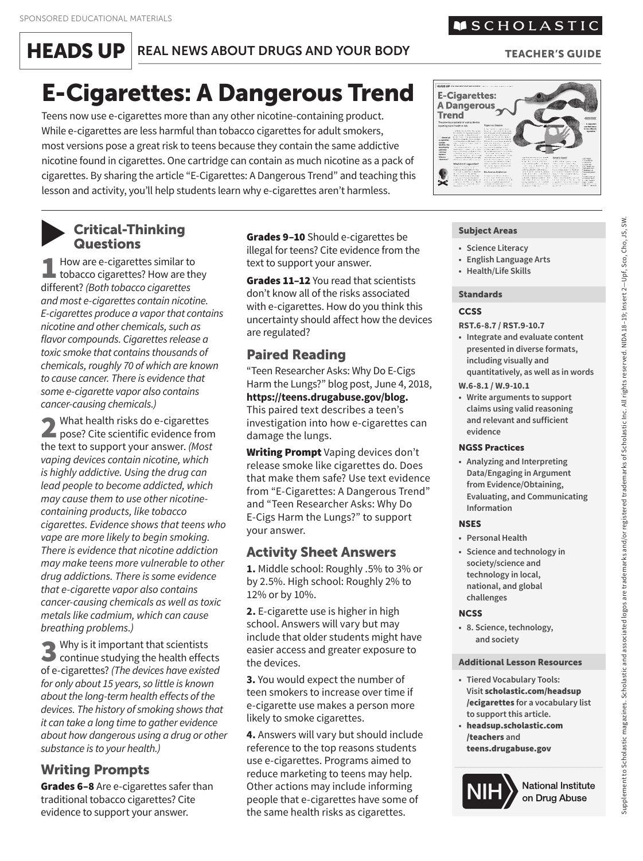**HEADS UP** REAL NEWS ABOUT DRUGS AND YOUR BODY

# E-Cigarettes: A Dangerous Trend

Teens now use e-cigarettes more than any other nicotine-containing product. While e-cigarettes are less harmful than tobacco cigarettes for adult smokers, most versions pose a great risk to teens because they contain the same addictive nicotine found in cigarettes. One cartridge can contain as much nicotine as a pack of cigarettes. By sharing the article "E-Cigarettes: A Dangerous Trend" and teaching this lesson and activity, you'll help students learn why e-cigarettes aren't harmless.

#### Critical-Thinking **Questions** ▼

1 How are e-cigarettes similar to<br>tobacco cigarettes? How are they<br>different? (Beth tobacco cigarettes) different? *(Both tobacco cigarettes and most e-cigarettes contain nicotine. E-cigarettes produce a vapor that contains nicotine and other chemicals, such as flavor compounds. Cigarettes release a toxic smoke that contains thousands of chemicals, roughly 70 of which are known to cause cancer. There is evidence that some e-cigarette vapor also contains cancer-causing chemicals.)*

2 What health risks do e-cigarettes<br>pose? Cite scientific evidence from the text to support your answer. *(Most vaping devices contain nicotine, which is highly addictive. Using the drug can lead people to become addicted, which may cause them to use other nicotinecontaining products, like tobacco cigarettes. Evidence shows that teens who vape are more likely to begin smoking. There is evidence that nicotine addiction may make teens more vulnerable to other drug addictions. There is some evidence that e-cigarette vapor also contains cancer-causing chemicals as well as toxic metals like cadmium, which can cause breathing problems.)* 

**3** Why is it important that scientists<br>
continue studying the health effects<br>
of a signature? (The dayies have switted of e-cigarettes? *(The devices have existed for only about 15 years, so little is known about the long-term health effects of the devices. The history of smoking shows that it can take a long time to gather evidence about how dangerous using a drug or other substance is to your health.)* 

# Writing Prompts

Grades 6-8 Are e-cigarettes safer than traditional tobacco cigarettes? Cite evidence to support your answer.

Grades 9-10 Should e-cigarettes be illegal for teens? Cite evidence from the text to support your answer.

Grades 11-12 You read that scientists don't know all of the risks associated with e-cigarettes. How do you think this uncertainty should affect how the devices are regulated?

## Paired Reading

"Teen Researcher Asks: Why Do E-Cigs Harm the Lungs?" blog post, June 4, 2018, **[https://teens.drugabuse.gov/blog.](https://teens.drugabuse.gov/blog)**  This paired text describes a teen's investigation into how e-cigarettes can damage the lungs.

Writing Prompt Vaping devices don't release smoke like cigarettes do. Does that make them safe? Use text evidence from "E-Cigarettes: A Dangerous Trend" and "Teen Researcher Asks: Why Do E-Cigs Harm the Lungs?" to support your answer.

### Activity Sheet Answers

**1.** Middle school: Roughly .5% to 3% or by 2.5%. High school: Roughly 2% to 12% or by 10%.

**2.** E-cigarette use is higher in high school. Answers will vary but may include that older students might have easier access and greater exposure to the devices.

**3.** You would expect the number of teen smokers to increase over time if e-cigarette use makes a person more likely to smoke cigarettes.

**4.** Answers will vary but should include reference to the top reasons students use e-cigarettes. Programs aimed to reduce marketing to teens may help. Other actions may include informing people that e-cigarettes have some of the same health risks as cigarettes.

#### TEACHER'S GUIDE

#### Subject Areas

- **• Science Literacy**
- **English Language Arts**
- **• Health/Life Skills**

#### Standards

#### **CCSS**

**RST.6-8.7 / RST.9-10.7** 

- **Integrate and evaluate content presented in diverse formats, including visually and quantitatively, as well as in words**
- **W.6-8.1 / W.9-10.1**
- **Write arguments to support claims using valid reasoning and relevant and sufficient evidence**

#### NGSS Practices

**• Analyzing and Interpreting Data/Engaging in Argument from Evidence/Obtaining, Evaluating, and Communicating Information**

#### **NSES**

- **• Personal Health**
- **• Science and technology in society/science and technology in local, national, and global challenges**

#### **NCSS**

**• 8. Science, technology, and society**

#### Additional Lesson Resources

- **• Tiered Vocabulary Tools: Visit** [scholastic.com/headsup](http://scholastic.com/headsup/ecigarettes) /ecigarettes **for a vocabulary list to support this article.**
- **•** [headsup.scholastic.com](http://headsup.scholastic.com/teachers) /teachers **and**  [teens.drugabuse.gov](http://teens.drugabuse.gov)



Supplement to Scholastic magazines. Scholastic and associated logos are trademarks and/or registered trademarks of Scholastic Inc. All rights reserved. NIDA 18–19; Insert 2—Upf, Sco, Cho, JS, SW. Supplement to Scholastic magazines. Scholastic and associated logos are trademarks and/or registered trademarks of Scholastic Inc. All rights reserved. NIDA 18-19; Insert 2–Upf, Sco, Cho, JS, SW